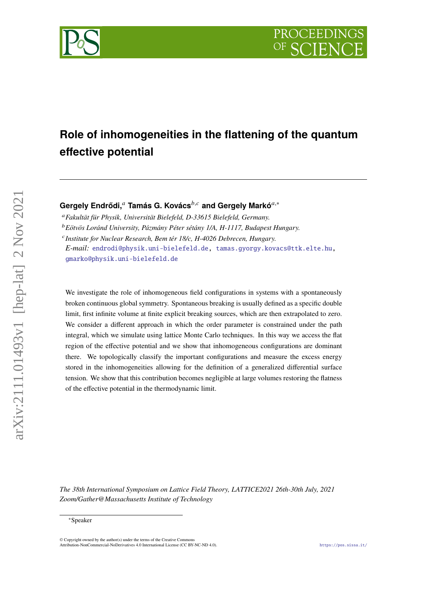# **Role of inhomogeneities in the flattening of the quantum effective potential**

Gergely Endrődi,<sup>a</sup> Tamás G. Kovács<sup>b,c</sup> and Gergely Markó<sup>a,∗</sup>

*Fakultät für Physik, Universität Bielefeld, D-33615 Bielefeld, Germany. Eötvös Loránd University, Pázmány Péter sétány 1/A, H-1117, Budapest Hungary.*

*Institute for Nuclear Research, Bem tér 18/c, H-4026 Debrecen, Hungary.*

*E-mail:* [endrodi@physik.uni-bielefeld.de,](mailto:endrodi@physik.uni-bielefeld.de) [tamas.gyorgy.kovacs@ttk.elte.hu,](mailto:tamas.gyorgy.kovacs@ttk.elte.hu) [gmarko@physik.uni-bielefeld.de](mailto:gmarko@physik.uni-bielefeld.de)

We investigate the role of inhomogeneous field configurations in systems with a spontaneously broken continuous global symmetry. Spontaneous breaking is usually defined as a specific double limit, first infinite volume at finite explicit breaking sources, which are then extrapolated to zero. We consider a different approach in which the order parameter is constrained under the path integral, which we simulate using lattice Monte Carlo techniques. In this way we access the flat region of the effective potential and we show that inhomogeneous configurations are dominant there. We topologically classify the important configurations and measure the excess energy stored in the inhomogeneities allowing for the definition of a generalized differential surface tension. We show that this contribution becomes negligible at large volumes restoring the flatness of the effective potential in the thermodynamic limit.

*The 38th International Symposium on Lattice Field Theory, LATTICE2021 26th-30th July, 2021 Zoom/Gather@Massachusetts Institute of Technology*



<sup>∗</sup>Speaker

 $\odot$  Copyright owned by the author(s) under the terms of the Creative Common Attribution-NonCommercial-NoDerivatives 4.0 International License (CC BY-NC-ND 4.0). <https://pos.sissa.it/>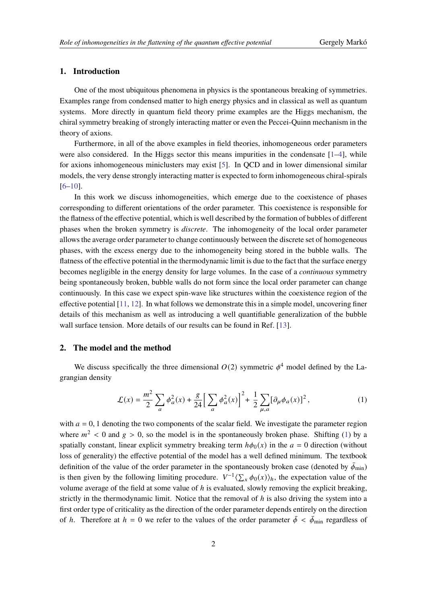## **1. Introduction**

One of the most ubiquitous phenomena in physics is the spontaneous breaking of symmetries. Examples range from condensed matter to high energy physics and in classical as well as quantum systems. More directly in quantum field theory prime examples are the Higgs mechanism, the chiral symmetry breaking of strongly interacting matter or even the Peccei-Quinn mechanism in the theory of axions.

Furthermore, in all of the above examples in field theories, inhomogeneous order parameters were also considered. In the Higgs sector this means impurities in the condensate  $[1-4]$  $[1-4]$ , while for axions inhomogeneous miniclusters may exist [\[5\]](#page-7-2). In QCD and in lower dimensional similar models, the very dense strongly interacting matter is expected to form inhomogeneous chiral-spirals [\[6](#page-7-3)[–10\]](#page-8-0).

In this work we discuss inhomogeneities, which emerge due to the coexistence of phases corresponding to different orientations of the order parameter. This coexistence is responsible for the flatness of the effective potential, which is well described by the formation of bubbles of different phases when the broken symmetry is *discrete*. The inhomogeneity of the local order parameter allows the average order parameter to change continuously between the discrete set of homogeneous phases, with the excess energy due to the inhomogeneity being stored in the bubble walls. The flatness of the effective potential in the thermodynamic limit is due to the fact that the surface energy becomes negligible in the energy density for large volumes. In the case of a *continuous* symmetry being spontaneously broken, bubble walls do not form since the local order parameter can change continuously. In this case we expect spin-wave like structures within the coexistence region of the effective potential [\[11,](#page-8-1) [12\]](#page-8-2). In what follows we demonstrate this in a simple model, uncovering finer details of this mechanism as well as introducing a well quantifiable generalization of the bubble wall surface tension. More details of our results can be found in Ref. [\[13\]](#page-8-3).

### **2. The model and the method**

We discuss specifically the three dimensional  $O(2)$  symmetric  $\phi^4$  model defined by the Lagrangian density

<span id="page-1-0"></span>
$$
\mathcal{L}(x) = \frac{m^2}{2} \sum_{a} \phi_a^2(x) + \frac{g}{24} \left[ \sum_{a} \phi_a^2(x) \right]^2 + \frac{1}{2} \sum_{\mu, a} [\partial_\mu \phi_a(x)]^2, \tag{1}
$$

with  $a = 0$ , 1 denoting the two components of the scalar field. We investigate the parameter region where  $m^2 < 0$  and  $g > 0$ , so the model is in the spontaneously broken phase. Shifting [\(1\)](#page-1-0) by a spatially constant, linear explicit symmetry breaking term  $h\phi_0(x)$  in the  $a = 0$  direction (without loss of generality) the effective potential of the model has a well defined minimum. The textbook definition of the value of the order parameter in the spontaneously broken case (denoted by  $\bar{\phi}_{min}$ ) is then given by the following limiting procedure.  $V^{-1}\langle \sum_{x} \phi_0(x) \rangle_h$ , the expectation value of the volume average of the field at some value of  $h$  is evaluated, slowly removing the explicit breaking, strictly in the thermodynamic limit. Notice that the removal of  *is also driving the system into a* first order type of criticality as the direction of the order parameter depends entirely on the direction of *h*. Therefore at  $h = 0$  we refer to the values of the order parameter  $\bar{\phi} < \bar{\phi}_{min}$  regardless of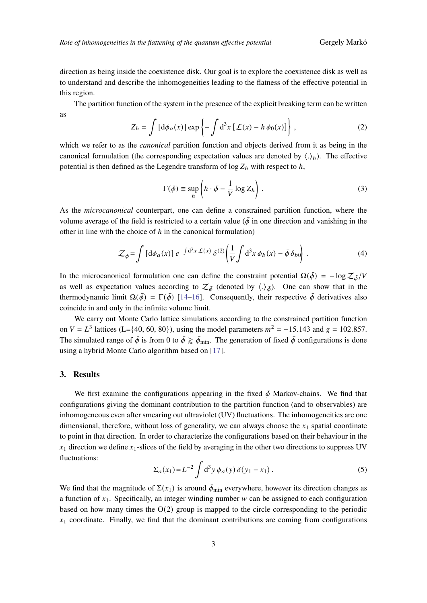direction as being inside the coexistence disk. Our goal is to explore the coexistence disk as well as to understand and describe the inhomogeneities leading to the flatness of the effective potential in this region.

The partition function of the system in the presence of the explicit breaking term can be written as

$$
Z_h = \int \left[ d\phi_a(x) \right] \exp \left\{ -\int d^3x \left[ \mathcal{L}(x) - h \phi_0(x) \right] \right\},\tag{2}
$$

which we refer to as the *canonical* partition function and objects derived from it as being in the canonical formulation (the corresponding expectation values are denoted by  $\langle . \rangle_h$ ). The effective potential is then defined as the Legendre transform of  $\log Z_h$  with respect to h,

$$
\Gamma(\bar{\phi}) \equiv \sup_{h} \left( h \cdot \bar{\phi} - \frac{1}{V} \log Z_h \right). \tag{3}
$$

As the *microcanonical* counterpart, one can define a constrained partition function, where the volume average of the field is restricted to a certain value ( $\bar{\phi}$  in one direction and vanishing in the other in line with the choice of  $h$  in the canonical formulation)

$$
\mathcal{Z}_{\bar{\phi}} = \int \left[ d\phi_a(x) \right] e^{-\int d^3x \mathcal{L}(x)} \delta^{(2)} \left( \frac{1}{V} \int d^3x \phi_b(x) - \bar{\phi} \delta_{b0} \right). \tag{4}
$$

In the microcanonical formulation one can define the constraint potential  $\Omega(\bar{\phi}) = -\log \mathcal{Z}_{\bar{\phi}}/V$ as well as expectation values according to  $\mathcal{Z}_{\bar{\phi}}$  (denoted by  $\langle .\rangle_{\bar{\phi}}$ ). One can show that in the thermodynamic limit  $\Omega(\bar{\phi}) = \Gamma(\bar{\phi})$  [\[14](#page-8-4)[–16\]](#page-8-5). Consequently, their respective  $\bar{\phi}$  derivatives also coincide in and only in the infinite volume limit.

We carry out Monte Carlo lattice simulations according to the constrained partition function on  $V = L^3$  lattices (L={40, 60, 80}), using the model parameters  $m^2 = -15.143$  and  $g = 102.857$ . The simulated range of  $\bar{\phi}$  is from 0 to  $\bar{\phi} \gtrapprox \bar{\phi}_{min}$ . The generation of fixed  $\bar{\phi}$  configurations is done using a hybrid Monte Carlo algorithm based on [\[17\]](#page-8-6).

### **3. Results**

We first examine the configurations appearing in the fixed  $\bar{\phi}$  Markov-chains. We find that configurations giving the dominant contribution to the partition function (and to observables) are inhomogeneous even after smearing out ultraviolet (UV) fluctuations. The inhomogeneities are one dimensional, therefore, without loss of generality, we can always choose the  $x_1$  spatial coordinate to point in that direction. In order to characterize the configurations based on their behaviour in the  $x_1$  direction we define  $x_1$ -slices of the field by averaging in the other two directions to suppress UV fluctuations:

$$
\Sigma_a(x_1) = L^{-2} \int d^3 y \, \phi_a(y) \, \delta(y_1 - x_1) \,. \tag{5}
$$

We find that the magnitude of  $\Sigma(x_1)$  is around  $\bar{\phi}_{\text{min}}$  everywhere, however its direction changes as a function of  $x_1$ . Specifically, an integer winding number w can be assigned to each configuration based on how many times the  $O(2)$  group is mapped to the circle corresponding to the periodic  $x_1$  coordinate. Finally, we find that the dominant contributions are coming from configurations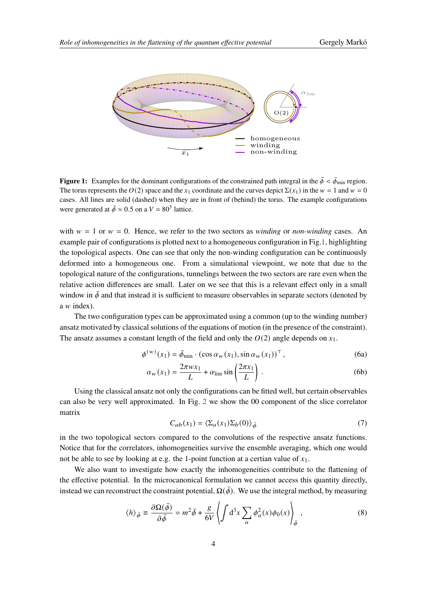<span id="page-3-0"></span>

**Figure 1:** Examples for the dominant configurations of the constrained path integral in the  $\bar{\phi} < \bar{\phi}_{min}$  region. The torus represents the  $O(2)$  space and the  $x_1$  coordinate and the curves depict  $\Sigma(x_1)$  in the  $w = 1$  and  $w = 0$ cases. All lines are solid (dashed) when they are in front of (behind) the torus. The example configurations were generated at  $\bar{\phi} \approx 0.5$  on a  $V = 80^3$  lattice.

with  $w = 1$  or  $w = 0$ . Hence, we refer to the two sectors as *winding* or *non-winding* cases. An example pair of configurations is plotted next to a homogeneous configuration in Fig[.1,](#page-3-0) highlighting the topological aspects. One can see that only the non-winding configuration can be continuously deformed into a homogeneous one. From a simulational viewpoint, we note that due to the topological nature of the configurations, tunnelings between the two sectors are rare even when the relative action differences are small. Later on we see that this is a relevant effect only in a small window in  $\bar{\phi}$  and that instead it is sufficient to measure observables in separate sectors (denoted by  $a \, w$  index).

The two configuration types can be approximated using a common (up to the winding number) ansatz motivated by classical solutions of the equations of motion (in the presence of the constraint). The ansatz assumes a constant length of the field and only the  $O(2)$  angle depends on  $x_1$ .

$$
\phi^{(w)}(x_1) = \bar{\phi}_{\min} \cdot (\cos \alpha_w(x_1), \sin \alpha_w(x_1))^{\top}, \qquad (6a)
$$

$$
\alpha_w(x_1) = \frac{2\pi w x_1}{L} + \alpha_{\lim} \sin\left(\frac{2\pi x_1}{L}\right). \tag{6b}
$$

Using the classical ansatz not only the configurations can be fitted well, but certain observables can also be very well approximated. In Fig. [2](#page-4-0) we show the 00 component of the slice correlator matrix

$$
C_{ab}(x_1) = \langle \Sigma_a(x_1) \Sigma_b(0) \rangle_{\bar{\phi}} \tag{7}
$$

in the two topological sectors compared to the convolutions of the respective ansatz functions. Notice that for the correlators, inhomogeneities survive the ensemble averaging, which one would not be able to see by looking at e.g. the 1-point function at a certian value of  $x_1$ .

We also want to investigate how exactly the inhomogeneities contribute to the flattening of the effective potential. In the microcanonical formulation we cannot access this quantity directly, instead we can reconstruct the constraint potential,  $\Omega(\bar{\phi})$ . We use the integral method, by measuring

$$
\langle h \rangle_{\bar{\phi}} \equiv \frac{\partial \Omega(\bar{\phi})}{\partial \bar{\phi}} = m^2 \bar{\phi} + \frac{g}{6V} \left\langle \int d^3 x \sum_a \phi_a^2(x) \phi_0(x) \right\rangle_{\bar{\phi}}, \tag{8}
$$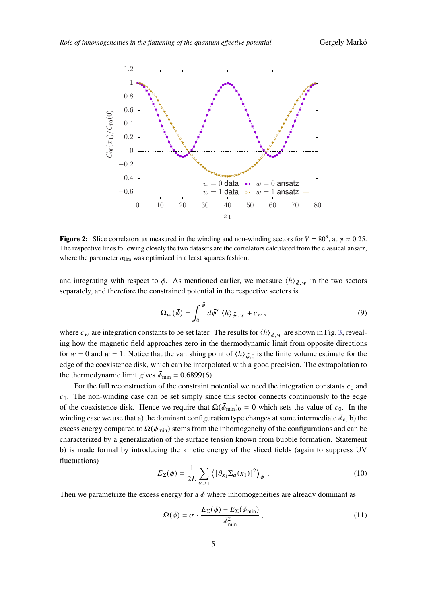<span id="page-4-0"></span>

**Figure 2:** Slice correlators as measured in the winding and non-winding sectors for  $V = 80^3$ , at  $\bar{\phi} \approx 0.25$ . The respective lines following closely the two datasets are the correlators calculated from the classical ansatz, where the parameter  $\alpha_{\text{lim}}$  was optimized in a least squares fashion.

and integrating with respect to  $\bar{\phi}$ . As mentioned earlier, we measure  $\langle h \rangle_{\bar{\phi}, w}$  in the two sectors separately, and therefore the constrained potential in the respective sectors is

$$
\Omega_{\scriptscriptstyle W}(\bar{\phi}) = \int_0^{\bar{\phi}} d\bar{\phi}' \langle h \rangle_{\bar{\phi}',\scriptscriptstyle W} + c_{\scriptscriptstyle W} \,, \tag{9}
$$

where  $c_w$  are integration constants to be set later. The results for  $\langle h \rangle_{\bar{\phi}_w}$  are shown in Fig. [3,](#page-5-0) revealing how the magnetic field approaches zero in the thermodynamic limit from opposite directions for  $w = 0$  and  $w = 1$ . Notice that the vanishing point of  $\langle h \rangle_{\bar{\phi},0}$  is the finite volume estimate for the edge of the coexistence disk, which can be interpolated with a good precision. The extrapolation to the thermodynamic limit gives  $\bar{\phi}_{min} = 0.6899(6)$ .

For the full reconstruction of the constraint potential we need the integration constants  $c_0$  and  $c_1$ . The non-winding case can be set simply since this sector connects continuously to the edge of the coexistence disk. Hence we require that  $\Omega(\bar{\phi}_{min})_0 = 0$  which sets the value of  $c_0$ . In the winding case we use that a) the dominant configuration type changes at some intermediate  $\bar{\phi}_c$ , b) the excess energy compared to  $\Omega(\bar{\phi}_{min})$  stems from the inhomogeneity of the configurations and can be characterized by a generalization of the surface tension known from bubble formation. Statement b) is made formal by introducing the kinetic energy of the sliced fields (again to suppress UV fluctuations)

$$
E_{\Sigma}(\bar{\phi}) = \frac{1}{2L} \sum_{a,x_1} \left\langle \left[ \partial_{x_1} \Sigma_a(x_1) \right]^2 \right\rangle_{\bar{\phi}} . \tag{10}
$$

Then we parametrize the excess energy for a  $\bar{\phi}$  where inhomogeneities are already dominant as

<span id="page-4-1"></span>
$$
\Omega(\bar{\phi}) = \sigma \cdot \frac{E_{\Sigma}(\bar{\phi}) - E_{\Sigma}(\bar{\phi}_{\min})}{\bar{\phi}_{\min}^2},
$$
\n(11)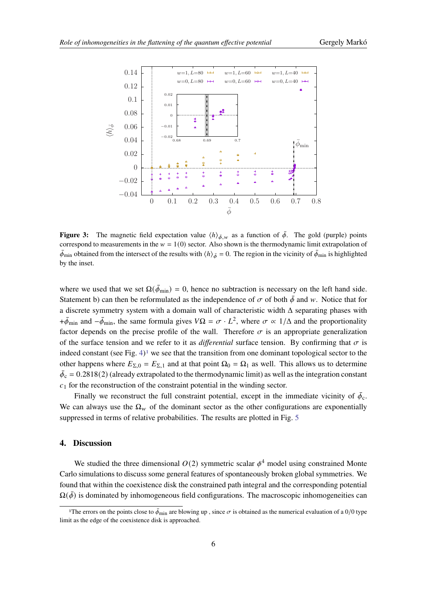<span id="page-5-0"></span>

**Figure 3:** The magnetic field expectation value  $\langle h \rangle_{\bar{\phi},w}$  as a function of  $\bar{\phi}$ . The gold (purple) points correspond to measurements in the  $w = 1(0)$  sector. Also shown is the thermodynamic limit extrapolation of  $\bar{\phi}_{min}$  obtained from the intersect of the results with  $\langle h \rangle_{\bar{\phi}} = 0$ . The region in the vicinity of  $\bar{\phi}_{min}$  is highlighted by the inset.

where we used that we set  $\Omega(\bar{\phi}_{min}) = 0$ , hence no subtraction is necessary on the left hand side. Statement b) can then be reformulated as the independence of  $\sigma$  of both  $\bar{\phi}$  and w. Notice that for a discrete symmetry system with a domain wall of characteristic width  $\Delta$  separating phases with + $\bar{\phi}_{min}$  and  $-\bar{\phi}_{min}$ , the same formula gives  $V\Omega = \sigma \cdot L^2$ , where  $\sigma \propto 1/\Delta$  and the proportionality factor depends on the precise profile of the wall. Therefore  $\sigma$  is an appropriate generalization of the surface tension and we refer to it as *differential* surface tension. By confirming that  $\sigma$  is indeed constant (see Fig.  $4$ )<sup>[1](#page-5-1)</sup> we see that the transition from one dominant topological sector to the other happens where  $E_{\Sigma,0} = E_{\Sigma,1}$  and at that point  $\Omega_0 = \Omega_1$  as well. This allows us to determine  $\bar{\phi}_c = 0.2818(2)$  (already extrapolated to the thermodynamic limit) as well as the integration constant  $c_1$  for the reconstruction of the constraint potential in the winding sector.

Finally we reconstruct the full constraint potential, except in the immediate vicinity of  $\bar{\phi}_c$ . We can always use the  $\Omega_w$  of the dominant sector as the other configurations are exponentially suppressed in terms of relative probabilities. The results are plotted in Fig. [5](#page-6-1)

#### **4. Discussion**

We studied the three dimensional  $O(2)$  symmetric scalar  $\phi^4$  model using constrained Monte Carlo simulations to discuss some general features of spontaneously broken global symmetries. We found that within the coexistence disk the constrained path integral and the corresponding potential  $\Omega(\vec{\phi})$  is dominated by inhomogeneous field configurations. The macroscopic inhomogeneities can

<span id="page-5-1"></span><sup>&</sup>lt;sup>1</sup>The errors on the points close to  $\bar{\phi}_{min}$  are blowing up, since  $\sigma$  is obtained as the numerical evaluation of a 0/0 type limit as the edge of the coexistence disk is approached.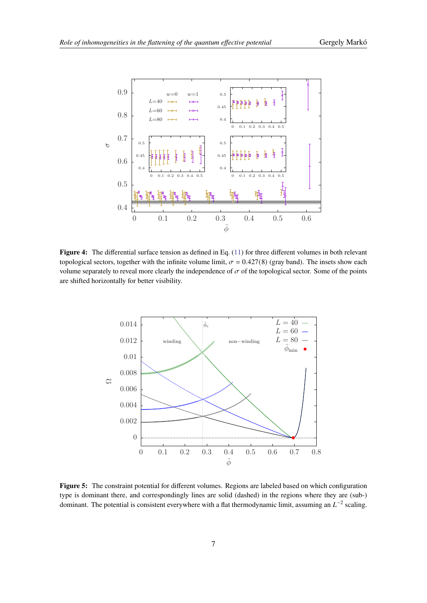<span id="page-6-0"></span>

Figure 4: The differential surface tension as defined in Eq. [\(11\)](#page-4-1) for three different volumes in both relevant topological sectors, together with the infinite volume limit,  $\sigma = 0.427(8)$  (gray band). The insets show each volume separately to reveal more clearly the independence of  $\sigma$  of the topological sector. Some of the points are shifted horizontally for better visibility.

<span id="page-6-1"></span>

**Figure 5:** The constraint potential for different volumes. Regions are labeled based on which configuration type is dominant there, and correspondingly lines are solid (dashed) in the regions where they are (sub-) dominant. The potential is consistent everywhere with a flat thermodynamic limit, assuming an  $L^{-2}$  scaling.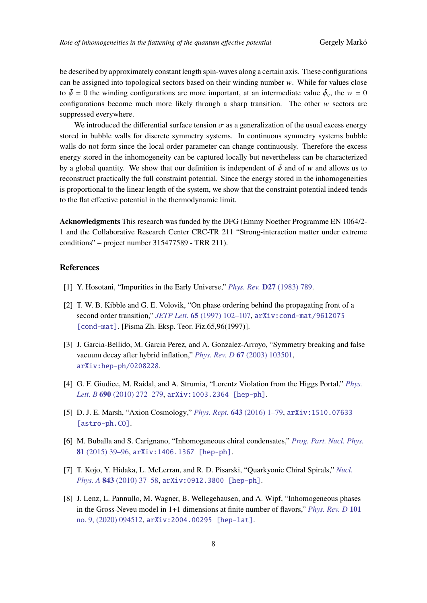be described by approximately constant length spin-waves along a certain axis. These configurations can be assigned into topological sectors based on their winding number  $w$ . While for values close to  $\bar{\phi} = 0$  the winding configurations are more important, at an intermediate value  $\bar{\phi}_c$ , the  $w = 0$ configurations become much more likely through a sharp transition. The other  $w$  sectors are suppressed everywhere.

We introduced the differential surface tension  $\sigma$  as a generalization of the usual excess energy stored in bubble walls for discrete symmetry systems. In continuous symmetry systems bubble walls do not form since the local order parameter can change continuously. Therefore the excess energy stored in the inhomogeneity can be captured locally but nevertheless can be characterized by a global quantity. We show that our definition is independent of  $\bar{\phi}$  and of w and allows us to reconstruct practically the full constraint potential. Since the energy stored in the inhomogeneities is proportional to the linear length of the system, we show that the constraint potential indeed tends to the flat effective potential in the thermodynamic limit.

**Acknowledgments** This research was funded by the DFG (Emmy Noether Programme EN 1064/2- 1 and the Collaborative Research Center CRC-TR 211 "Strong-interaction matter under extreme conditions" – project number 315477589 - TRR 211).

### **References**

- <span id="page-7-0"></span>[1] Y. Hosotani, "Impurities in the Early Universe," *Phys. Rev.* **D27** [\(1983\) 789.](http://dx.doi.org/10.1103/PhysRevD.27.789)
- [2] T. W. B. Kibble and G. E. Volovik, "On phase ordering behind the propagating front of a second order transition," *JETP Lett.* **65** [\(1997\) 102–107,](http://dx.doi.org/10.1134/1.567332) [arXiv:cond-mat/9612075](http://arxiv.org/abs/cond-mat/9612075) [\[cond-mat\]](http://arxiv.org/abs/cond-mat/9612075). [Pisma Zh. Eksp. Teor. Fiz.65,96(1997)].
- [3] J. Garcia-Bellido, M. Garcia Perez, and A. Gonzalez-Arroyo, "Symmetry breaking and false vacuum decay after hybrid inflation," *Phys. Rev. D* **67** [\(2003\) 103501,](http://dx.doi.org/10.1103/PhysRevD.67.103501) [arXiv:hep-ph/0208228](http://arxiv.org/abs/hep-ph/0208228).
- <span id="page-7-1"></span>[4] G. F. Giudice, M. Raidal, and A. Strumia, "Lorentz Violation from the Higgs Portal," *[Phys.](http://dx.doi.org/10.1016/j.physletb.2010.05.029) Lett. B* **690** [\(2010\) 272–279,](http://dx.doi.org/10.1016/j.physletb.2010.05.029) [arXiv:1003.2364 \[hep-ph\]](http://arxiv.org/abs/1003.2364).
- <span id="page-7-2"></span>[5] D. J. E. Marsh, "Axion Cosmology," *Phys. Rept.* **643** [\(2016\) 1–79,](http://dx.doi.org/10.1016/j.physrep.2016.06.005) [arXiv:1510.07633](http://arxiv.org/abs/1510.07633) [\[astro-ph.CO\]](http://arxiv.org/abs/1510.07633).
- <span id="page-7-3"></span>[6] M. Buballa and S. Carignano, "Inhomogeneous chiral condensates," *[Prog. Part. Nucl. Phys.](http://dx.doi.org/10.1016/j.ppnp.2014.11.001)* **81** [\(2015\) 39–96,](http://dx.doi.org/10.1016/j.ppnp.2014.11.001) [arXiv:1406.1367 \[hep-ph\]](http://arxiv.org/abs/1406.1367).
- [7] T. Kojo, Y. Hidaka, L. McLerran, and R. D. Pisarski, "Quarkyonic Chiral Spirals," *[Nucl.](http://dx.doi.org/10.1016/j.nuclphysa.2010.05.053) Phys. A* **843** [\(2010\) 37–58,](http://dx.doi.org/10.1016/j.nuclphysa.2010.05.053) [arXiv:0912.3800 \[hep-ph\]](http://arxiv.org/abs/0912.3800).
- [8] J. Lenz, L. Pannullo, M. Wagner, B. Wellegehausen, and A. Wipf, "Inhomogeneous phases in the Gross-Neveu model in 1+1 dimensions at finite number of flavors," *[Phys. Rev. D](http://dx.doi.org/10.1103/PhysRevD.101.094512)* **101** [no. 9, \(2020\) 094512,](http://dx.doi.org/10.1103/PhysRevD.101.094512) [arXiv:2004.00295 \[hep-lat\]](http://arxiv.org/abs/2004.00295).